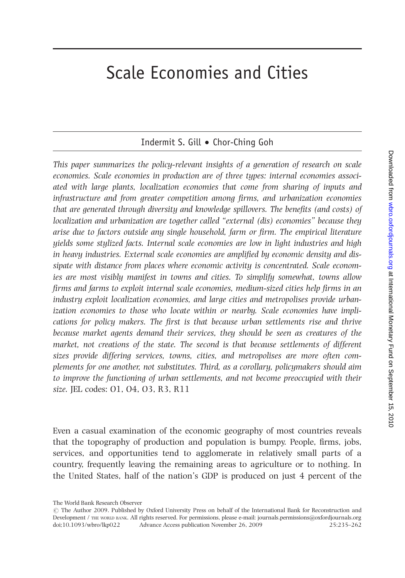# Scale Economies and Cities

#### Indermit S. Gill • Chor-Ching Goh

This paper summarizes the policy-relevant insights of a generation of research on scale economies. Scale economies in production are of three types: internal economies associated with large plants, localization economies that come from sharing of inputs and infrastructure and from greater competition among firms, and urbanization economies that are generated through diversity and knowledge spillovers. The benefits (and costs) of localization and urbanization are together called "external (dis) economies" because they arise due to factors outside any single household, farm or firm. The empirical literature yields some stylized facts. Internal scale economies are low in light industries and high in heavy industries. External scale economies are amplified by economic density and dissipate with distance from places where economic activity is concentrated. Scale economies are most visibly manifest in towns and cities. To simplify somewhat, towns allow firms and farms to exploit internal scale economies, medium-sized cities help firms in an industry exploit localization economies, and large cities and metropolises provide urbanization economies to those who locate within or nearby. Scale economies have implications for policy makers. The first is that because urban settlements rise and thrive because market agents demand their services, they should be seen as creatures of the market, not creations of the state. The second is that because settlements of different sizes provide differing services, towns, cities, and metropolises are more often complements for one another, not substitutes. Third, as a corollary, policymakers should aim to improve the functioning of urban settlements, and not become preoccupied with their size. JEL codes: 01, 04, 03, R3, R11

Even a casual examination of the economic geography of most countries reveals that the topography of production and population is bumpy. People, firms, jobs, services, and opportunities tend to agglomerate in relatively small parts of a country, frequently leaving the remaining areas to agriculture or to nothing. In the United States, half of the nation's GDP is produced on just 4 percent of the

The World Bank Research Observer

<sup>©</sup> The Author 2009. Published by Oxford University Press on behalf of the International Bank for Reconstruction and Development / THE WORLD BANK. All rights reserved. For permissions, please e-mail: journals.permissions@oxfordjournals.org doi;10.1093/wbro/lkp022 Advance Access publication November 26, 2009 25:235–262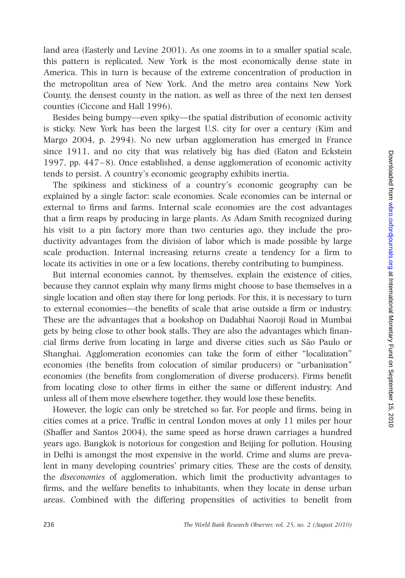land area (Easterly and Levine 2001). As one zooms in to a smaller spatial scale, this pattern is replicated. New York is the most economically dense state in America. This in turn is because of the extreme concentration of production in the metropolitan area of New York. And the metro area contains New York County, the densest county in the nation, as well as three of the next ten densest counties (Ciccone and Hall 1996).

Besides being bumpy—even spiky—the spatial distribution of economic activity is sticky. New York has been the largest U.S. city for over a century (Kim and Margo 2004, p. 2994). No new urban agglomeration has emerged in France since 1911, and no city that was relatively big has died (Eaton and Eckstein 1997, pp.  $447-8$ ). Once established, a dense agglomeration of economic activity tends to persist. A country's economic geography exhibits inertia.

The spikiness and stickiness of a country's economic geography can be explained by a single factor: scale economies. Scale economies can be internal or external to firms and farms. Internal scale economies are the cost advantages that a firm reaps by producing in large plants. As Adam Smith recognized during his visit to a pin factory more than two centuries ago, they include the productivity advantages from the division of labor which is made possible by large scale production. Internal increasing returns create a tendency for a firm to locate its activities in one or a few locations, thereby contributing to bumpiness.

But internal economies cannot, by themselves, explain the existence of cities, because they cannot explain why many firms might choose to base themselves in a single location and often stay there for long periods. For this, it is necessary to turn to external economies—the benefits of scale that arise outside a firm or industry. These are the advantages that a bookshop on Dadabhai Naoroji Road in Mumbai gets by being close to other book stalls. They are also the advantages which financial firms derive from locating in large and diverse cities such as São Paulo or Shanghai. Agglomeration economies can take the form of either "localization" economies (the benefits from colocation of similar producers) or "urbanization" economies (the benefits from conglomeration of diverse producers). Firms benefit from locating close to other firms in either the same or different industry. And unless all of them move elsewhere together, they would lose these benefits.

However, the logic can only be stretched so far. For people and firms, being in cities comes at a price. Traffic in central London moves at only 11 miles per hour (Shaffer and Santos 2004), the same speed as horse drawn carriages a hundred years ago. Bangkok is notorious for congestion and Beijing for pollution. Housing in Delhi is amongst the most expensive in the world. Crime and slums are prevalent in many developing countries' primary cities. These are the costs of density, the diseconomies of agglomeration, which limit the productivity advantages to firms, and the welfare benefits to inhabitants, when they locate in dense urban areas. Combined with the differing propensities of activities to benefit from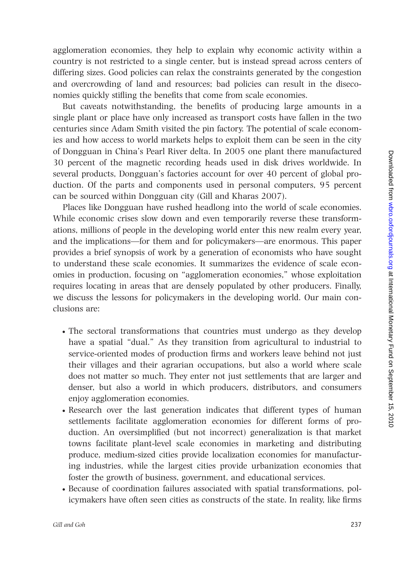agglomeration economies, they help to explain why economic activity within a country is not restricted to a single center, but is instead spread across centers of differing sizes. Good policies can relax the constraints generated by the congestion and overcrowding of land and resources; bad policies can result in the diseconomies quickly stifling the benefits that come from scale economies.

But caveats notwithstanding, the benefits of producing large amounts in a single plant or place have only increased as transport costs have fallen in the two centuries since Adam Smith visited the pin factory. The potential of scale economies and how access to world markets helps to exploit them can be seen in the city of Dongguan in China's Pearl River delta. In 2005 one plant there manufactured 30 percent of the magnetic recording heads used in disk drives worldwide. In several products, Dongguan's factories account for over 40 percent of global production. Of the parts and components used in personal computers, 95 percent can be sourced within Dongguan city (Gill and Kharas 2007).

Places like Dongguan have rushed headlong into the world of scale economies. While economic crises slow down and even temporarily reverse these transformations, millions of people in the developing world enter this new realm every year, and the implications—for them and for policymakers—are enormous. This paper provides a brief synopsis of work by a generation of economists who have sought to understand these scale economies. It summarizes the evidence of scale economies in production, focusing on "agglomeration economies," whose exploitation requires locating in areas that are densely populated by other producers. Finally, we discuss the lessons for policymakers in the developing world. Our main conclusions are:

- The sectoral transformations that countries must undergo as they develop have a spatial "dual." As they transition from agricultural to industrial to service-oriented modes of production firms and workers leave behind not just their villages and their agrarian occupations, but also a world where scale does not matter so much. They enter not just settlements that are larger and denser, but also a world in which producers, distributors, and consumers enjoy agglomeration economies.
- Research over the last generation indicates that different types of human settlements facilitate agglomeration economies for different forms of production. An oversimplified (but not incorrect) generalization is that market towns facilitate plant-level scale economies in marketing and distributing produce, medium-sized cities provide localization economies for manufacturing industries, while the largest cities provide urbanization economies that foster the growth of business, government, and educational services.
- † Because of coordination failures associated with spatial transformations, policymakers have often seen cities as constructs of the state. In reality, like firms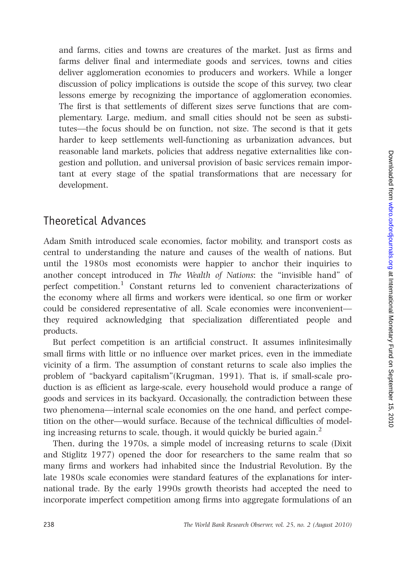and farms, cities and towns are creatures of the market. Just as firms and farms deliver final and intermediate goods and services, towns and cities deliver agglomeration economies to producers and workers. While a longer discussion of policy implications is outside the scope of this survey, two clear lessons emerge by recognizing the importance of agglomeration economies. The first is that settlements of different sizes serve functions that are complementary. Large, medium, and small cities should not be seen as substitutes—the focus should be on function, not size. The second is that it gets harder to keep settlements well-functioning as urbanization advances, but reasonable land markets, policies that address negative externalities like congestion and pollution, and universal provision of basic services remain important at every stage of the spatial transformations that are necessary for development.

# Theoretical Advances

Adam Smith introduced scale economies, factor mobility, and transport costs as central to understanding the nature and causes of the wealth of nations. But until the 1980s most economists were happier to anchor their inquiries to another concept introduced in The Wealth of Nations: the "invisible hand" of perfect competition.<sup>1</sup> Constant returns led to convenient characterizations of the economy where all firms and workers were identical, so one firm or worker could be considered representative of all. Scale economies were inconvenient they required acknowledging that specialization differentiated people and products.

But perfect competition is an artificial construct. It assumes infinitesimally small firms with little or no influence over market prices, even in the immediate vicinity of a firm. The assumption of constant returns to scale also implies the problem of "backyard capitalism"(Krugman, 1991). That is, if small-scale production is as efficient as large-scale, every household would produce a range of goods and services in its backyard. Occasionally, the contradiction between these two phenomena—internal scale economies on the one hand, and perfect competition on the other—would surface. Because of the technical difficulties of modeling increasing returns to scale, though, it would quickly be buried again. $<sup>2</sup>$ </sup>

Then, during the 1970s, a simple model of increasing returns to scale (Dixit and Stiglitz 1977) opened the door for researchers to the same realm that so many firms and workers had inhabited since the Industrial Revolution. By the late 1980s scale economies were standard features of the explanations for international trade. By the early 1990s growth theorists had accepted the need to incorporate imperfect competition among firms into aggregate formulations of an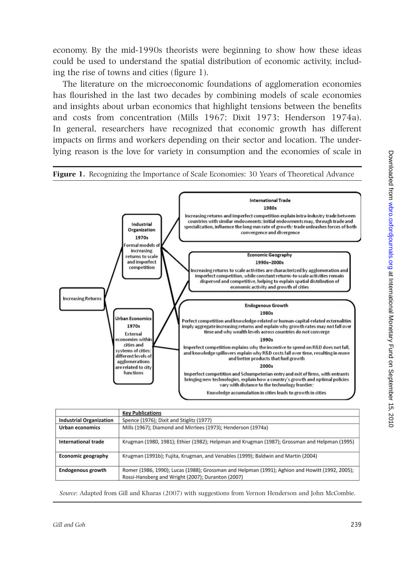economy. By the mid-1990s theorists were beginning to show how these ideas could be used to understand the spatial distribution of economic activity, including the rise of towns and cities (figure 1).

The literature on the microeconomic foundations of agglomeration economies has flourished in the last two decades by combining models of scale economies and insights about urban economics that highlight tensions between the benefits and costs from concentration (Mills 1967; Dixit 1973; Henderson 1974a). In general, researchers have recognized that economic growth has different impacts on firms and workers depending on their sector and location. The underlying reason is the love for variety in consumption and the economies of scale in



| <b>International Trade</b> |
|----------------------------|

Figure 1. Recognizing the Importance of Scale Economies: 30 Years of Theoretical Advance

|                                | <b>Key Publications</b>                                                                                                                             |
|--------------------------------|-----------------------------------------------------------------------------------------------------------------------------------------------------|
| <b>Industrial Organization</b> | Spence (1976); Dixit and Stiglitz (1977)                                                                                                            |
| <b>Urban economics</b>         | Mills (1967); Diamond and Mirrlees (1973); Henderson (1974a)                                                                                        |
| <b>International trade</b>     | Krugman (1980, 1981); Ethier (1982); Helpman and Krugman (1987); Grossman and Helpman (1995)                                                        |
| <b>Economic geography</b>      | Krugman (1991b); Fujita, Krugman, and Venables (1999); Baldwin and Martin (2004)                                                                    |
| <b>Endogenous growth</b>       | Romer (1986, 1990); Lucas (1988); Grossman and Helpman (1991); Aghion and Howitt (1992, 2005);<br>Rossi-Hansberg and Wright (2007); Duranton (2007) |

Source: Adapted from Gill and Kharas (2007) with suggestions from Vernon Henderson and John McCombie.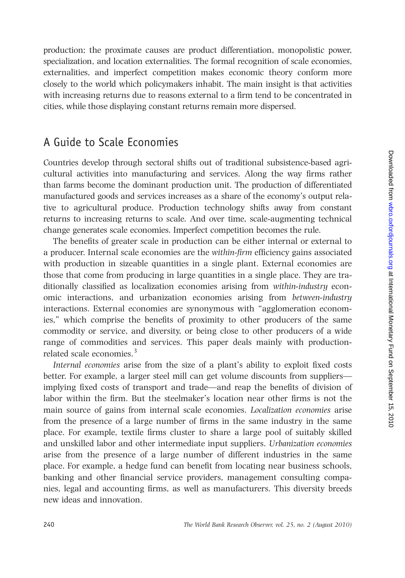production; the proximate causes are product differentiation, monopolistic power, specialization, and location externalities. The formal recognition of scale economies, externalities, and imperfect competition makes economic theory conform more closely to the world which policymakers inhabit. The main insight is that activities with increasing returns due to reasons external to a firm tend to be concentrated in cities, while those displaying constant returns remain more dispersed.

## A Guide to Scale Economies

Countries develop through sectoral shifts out of traditional subsistence-based agricultural activities into manufacturing and services. Along the way firms rather than farms become the dominant production unit. The production of differentiated manufactured goods and services increases as a share of the economy's output relative to agricultural produce. Production technology shifts away from constant returns to increasing returns to scale. And over time, scale-augmenting technical change generates scale economies. Imperfect competition becomes the rule.

The benefits of greater scale in production can be either internal or external to a producer. Internal scale economies are the within-firm efficiency gains associated with production in sizeable quantities in a single plant. External economies are those that come from producing in large quantities in a single place. They are traditionally classified as localization economies arising from within-industry economic interactions, and urbanization economies arising from between-industry interactions. External economies are synonymous with "agglomeration economies," which comprise the benefits of proximity to other producers of the same commodity or service, and diversity, or being close to other producers of a wide range of commodities and services. This paper deals mainly with productionrelated scale economies.<sup>3</sup>

Internal economies arise from the size of a plant's ability to exploit fixed costs better. For example, a larger steel mill can get volume discounts from suppliers implying fixed costs of transport and trade—and reap the benefits of division of labor within the firm. But the steelmaker's location near other firms is not the main source of gains from internal scale economies. Localization economies arise from the presence of a large number of firms in the same industry in the same place. For example, textile firms cluster to share a large pool of suitably skilled and unskilled labor and other intermediate input suppliers. Urbanization economies arise from the presence of a large number of different industries in the same place. For example, a hedge fund can benefit from locating near business schools, banking and other financial service providers, management consulting companies, legal and accounting firms, as well as manufacturers. This diversity breeds new ideas and innovation.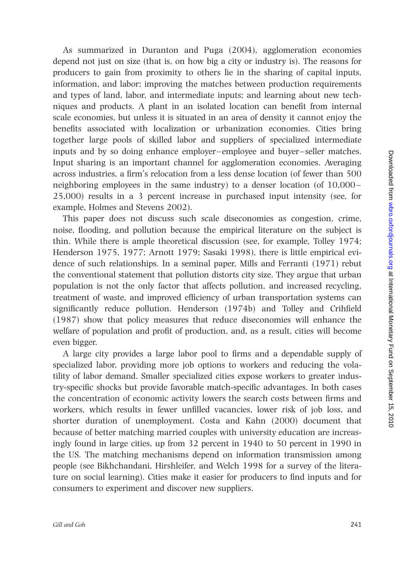As summarized in Duranton and Puga (2004), agglomeration economies depend not just on size (that is, on how big a city or industry is). The reasons for producers to gain from proximity to others lie in the sharing of capital inputs, information, and labor; improving the matches between production requirements and types of land, labor, and intermediate inputs; and learning about new techniques and products. A plant in an isolated location can benefit from internal scale economies, but unless it is situated in an area of density it cannot enjoy the benefits associated with localization or urbanization economies. Cities bring together large pools of skilled labor and suppliers of specialized intermediate inputs and by so doing enhance employer–employee and buyer– seller matches. Input sharing is an important channel for agglomeration economies. Averaging across industries, a firm's relocation from a less dense location (of fewer than 500 neighboring employees in the same industry) to a denser location (of 10,000 – 25,000) results in a 3 percent increase in purchased input intensity (see, for example, Holmes and Stevens 2002).

This paper does not discuss such scale diseconomies as congestion, crime, noise, flooding, and pollution because the empirical literature on the subject is thin. While there is ample theoretical discussion (see, for example, Tolley 1974; Henderson 1975, 1977; Arnott 1979; Sasaki 1998), there is little empirical evidence of such relationships. In a seminal paper, Mills and Ferranti (1971) rebut the conventional statement that pollution distorts city size. They argue that urban population is not the only factor that affects pollution, and increased recycling, treatment of waste, and improved efficiency of urban transportation systems can significantly reduce pollution. Henderson (1974b) and Tolley and Crihfield (1987) show that policy measures that reduce diseconomies will enhance the welfare of population and profit of production, and, as a result, cities will become even bigger.

A large city provides a large labor pool to firms and a dependable supply of specialized labor, providing more job options to workers and reducing the volatility of labor demand. Smaller specialized cities expose workers to greater industry-specific shocks but provide favorable match-specific advantages. In both cases the concentration of economic activity lowers the search costs between firms and workers, which results in fewer unfilled vacancies, lower risk of job loss, and shorter duration of unemployment. Costa and Kahn (2000) document that because of better matching married couples with university education are increasingly found in large cities, up from 32 percent in 1940 to 50 percent in 1990 in the US. The matching mechanisms depend on information transmission among people (see Bikhchandani, Hirshleifer, and Welch 1998 for a survey of the literature on social learning). Cities make it easier for producers to find inputs and for consumers to experiment and discover new suppliers.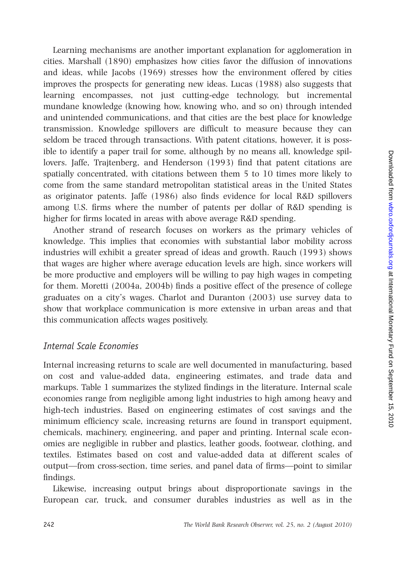Learning mechanisms are another important explanation for agglomeration in cities. Marshall (1890) emphasizes how cities favor the diffusion of innovations and ideas, while Jacobs (1969) stresses how the environment offered by cities improves the prospects for generating new ideas. Lucas (1988) also suggests that learning encompasses, not just cutting-edge technology, but incremental mundane knowledge (knowing how, knowing who, and so on) through intended and unintended communications, and that cities are the best place for knowledge transmission. Knowledge spillovers are difficult to measure because they can seldom be traced through transactions. With patent citations, however, it is possible to identify a paper trail for some, although by no means all, knowledge spillovers. Jaffe, Trajtenberg, and Henderson (1993) find that patent citations are spatially concentrated, with citations between them 5 to 10 times more likely to come from the same standard metropolitan statistical areas in the United States as originator patents. Jaffe (1986) also finds evidence for local R&D spillovers among U.S. firms where the number of patents per dollar of R&D spending is higher for firms located in areas with above average R&D spending.

Another strand of research focuses on workers as the primary vehicles of knowledge. This implies that economies with substantial labor mobility across industries will exhibit a greater spread of ideas and growth. Rauch (1993) shows that wages are higher where average education levels are high, since workers will be more productive and employers will be willing to pay high wages in competing for them. Moretti (2004a, 2004b) finds a positive effect of the presence of college graduates on a city's wages. Charlot and Duranton (2003) use survey data to show that workplace communication is more extensive in urban areas and that this communication affects wages positively.

#### Internal Scale Economies

Internal increasing returns to scale are well documented in manufacturing, based on cost and value-added data, engineering estimates, and trade data and markups. Table 1 summarizes the stylized findings in the literature. Internal scale economies range from negligible among light industries to high among heavy and high-tech industries. Based on engineering estimates of cost savings and the minimum efficiency scale, increasing returns are found in transport equipment, chemicals, machinery, engineering, and paper and printing. Internal scale economies are negligible in rubber and plastics, leather goods, footwear, clothing, and textiles. Estimates based on cost and value-added data at different scales of output—from cross-section, time series, and panel data of firms—point to similar findings.

Likewise, increasing output brings about disproportionate savings in the European car, truck, and consumer durables industries as well as in the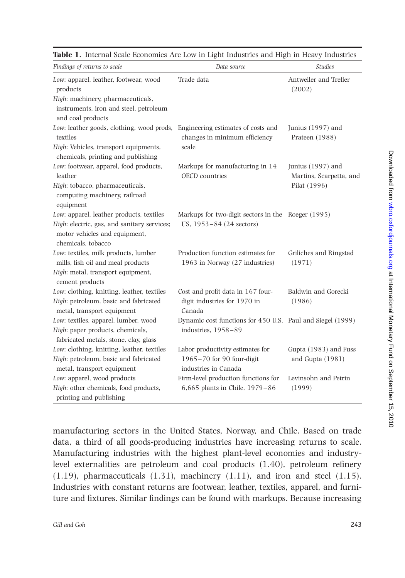| Findings of returns to scale                                                                                                                   | Data source                                                                                   | <b>Studies</b>                               |
|------------------------------------------------------------------------------------------------------------------------------------------------|-----------------------------------------------------------------------------------------------|----------------------------------------------|
| Low: apparel, leather, footwear, wood<br>products                                                                                              | Trade data                                                                                    | Antweiler and Trefler<br>(2002)              |
| High: machinery, pharmaceuticals,<br>instruments, iron and steel, petroleum<br>and coal products                                               |                                                                                               |                                              |
| Low: leather goods, clothing, wood prods,<br>textiles<br>High: Vehicles, transport equipments,<br>chemicals, printing and publishing           | Engineering estimates of costs and<br>changes in minimum efficiency<br>scale                  | Junius (1997) and<br>Prateen (1988)          |
| Low: footwear, apparel, food products,<br>leather                                                                                              | Markups for manufacturing in 14<br>OECD countries                                             | Junius (1997) and<br>Martins, Scarpetta, and |
| High: tobacco, pharmaceuticals,<br>computing machinery, railroad<br>equipment                                                                  |                                                                                               | Pilat (1996)                                 |
| Low: apparel, leather products, textiles<br>High: electric, gas, and sanitary services;<br>motor vehicles and equipment,<br>chemicals, tobacco | Markups for two-digit sectors in the Roeger (1995)<br>US, $1953 - 84$ (24 sectors)            |                                              |
| Low: textiles, milk products, lumber<br>mills, fish oil and meal products                                                                      | Production function estimates for<br>1963 in Norway (27 industries)                           | Griliches and Ringstad<br>(1971)             |
| High: metal, transport equipment,<br>cement products                                                                                           |                                                                                               |                                              |
| Low: clothing, knitting, leather, textiles<br>High: petroleum, basic and fabricated<br>metal, transport equipment                              | Cost and profit data in 167 four-<br>digit industries for 1970 in<br>Canada                   | Baldwin and Gorecki<br>(1986)                |
| Low: textiles, apparel, lumber, wood<br>High: paper products, chemicals,<br>fabricated metals, stone, clay, glass                              | Dynamic cost functions for 450 U.S. Paul and Siegel (1999)<br>industries, 1958-89             |                                              |
| Low: clothing, knitting, leather, textiles<br>High: petroleum, basic and fabricated                                                            | Labor productivity estimates for<br>1965-70 for 90 four-digit                                 | Gupta (1983) and Fuss<br>and Gupta (1981)    |
| metal, transport equipment<br>Low: apparel, wood products<br>High: other chemicals, food products,<br>printing and publishing                  | industries in Canada<br>Firm-level production functions for<br>6,665 plants in Chile, 1979-86 | Levinsohn and Petrin<br>(1999)               |

Table 1. Internal Scale Economies Are Low in Light Industries and High in Heavy Industries

manufacturing sectors in the United States, Norway, and Chile. Based on trade data, a third of all goods-producing industries have increasing returns to scale. Manufacturing industries with the highest plant-level economies and industrylevel externalities are petroleum and coal products (1.40), petroleum refinery  $(1.19)$ , pharmaceuticals  $(1.31)$ , machinery  $(1.11)$ , and iron and steel  $(1.15)$ . Industries with constant returns are footwear, leather, textiles, apparel, and furniture and fixtures. Similar findings can be found with markups. Because increasing Downloaded from wbro.oxfordjournals.org at International Monetary Fund on September 15, 2010 Downloaded from [wbro.oxfordjournals.org](http://wbro.oxfordjournals.org/) at International Monetary Fund on September 15, 2010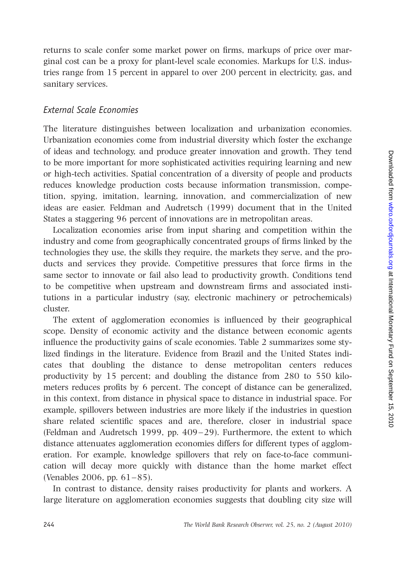returns to scale confer some market power on firms, markups of price over marginal cost can be a proxy for plant-level scale economies. Markups for U.S. industries range from 15 percent in apparel to over 200 percent in electricity, gas, and sanitary services.

#### External Scale Economies

The literature distinguishes between localization and urbanization economies. Urbanization economies come from industrial diversity which foster the exchange of ideas and technology, and produce greater innovation and growth. They tend to be more important for more sophisticated activities requiring learning and new or high-tech activities. Spatial concentration of a diversity of people and products reduces knowledge production costs because information transmission, competition, spying, imitation, learning, innovation, and commercialization of new ideas are easier. Feldman and Audretsch (1999) document that in the United States a staggering 96 percent of innovations are in metropolitan areas.

Localization economies arise from input sharing and competition within the industry and come from geographically concentrated groups of firms linked by the technologies they use, the skills they require, the markets they serve, and the products and services they provide. Competitive pressures that force firms in the same sector to innovate or fail also lead to productivity growth. Conditions tend to be competitive when upstream and downstream firms and associated institutions in a particular industry (say, electronic machinery or petrochemicals) cluster.

The extent of agglomeration economies is influenced by their geographical scope. Density of economic activity and the distance between economic agents influence the productivity gains of scale economies. Table 2 summarizes some stylized findings in the literature. Evidence from Brazil and the United States indicates that doubling the distance to dense metropolitan centers reduces productivity by 15 percent; and doubling the distance from 280 to 550 kilometers reduces profits by 6 percent. The concept of distance can be generalized, in this context, from distance in physical space to distance in industrial space. For example, spillovers between industries are more likely if the industries in question share related scientific spaces and are, therefore, closer in industrial space (Feldman and Audretsch 1999, pp.  $409-29$ ). Furthermore, the extent to which distance attenuates agglomeration economies differs for different types of agglomeration. For example, knowledge spillovers that rely on face-to-face communication will decay more quickly with distance than the home market effect (Venables 2006, pp.  $61 - 85$ ).

In contrast to distance, density raises productivity for plants and workers. A large literature on agglomeration economies suggests that doubling city size will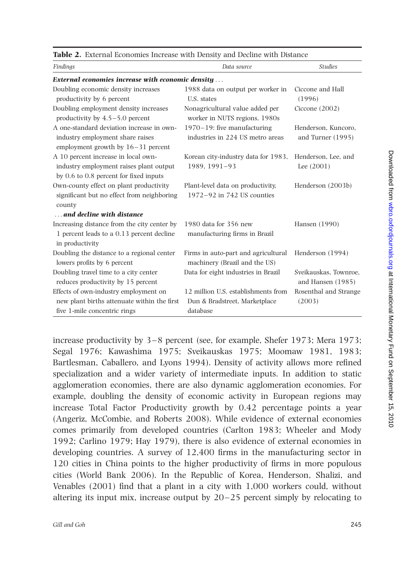| Findings                                                                                                                 | Data source                                                                      | <b>Studies</b>                             |  |  |
|--------------------------------------------------------------------------------------------------------------------------|----------------------------------------------------------------------------------|--------------------------------------------|--|--|
| External economies increase with economic density $\dots$                                                                |                                                                                  |                                            |  |  |
| Doubling economic density increases<br>productivity by 6 percent                                                         | 1988 data on output per worker in<br>U.S. states                                 | Ciccone and Hall<br>(1996)                 |  |  |
| Doubling employment density increases<br>productivity by $4.5-5.0$ percent                                               | Nonagricultural value added per<br>worker in NUTS regions, 1980s                 | Ciccone $(2002)$                           |  |  |
| A one-standard deviation increase in own-<br>industry employment share raises<br>employment growth by $16-31$ percent    | $1970 - 19$ : five manufacturing<br>industries in 224 US metro areas             | Henderson, Kuncoro,<br>and Turner $(1995)$ |  |  |
| A 10 percent increase in local own-<br>industry employment raises plant output<br>by 0.6 to 0.8 percent for fixed inputs | Korean city-industry data for 1983,<br>1989, 1991-93                             | Henderson, Lee, and<br>Lee $(2001)$        |  |  |
| Own-county effect on plant productivity<br>significant but no effect from neighboring<br>county                          | Plant-level data on productivity,<br>1972-92 in 742 US counties                  | Henderson (2003b)                          |  |  |
| and decline with distance                                                                                                |                                                                                  |                                            |  |  |
| Increasing distance from the city center by<br>1 percent leads to a 0.13 percent decline<br>in productivity              | 1980 data for 356 new<br>manufacturing firms in Brazil                           | Hansen (1990)                              |  |  |
| Doubling the distance to a regional center<br>lowers profits by 6 percent                                                | Firms in auto-part and agricultural<br>machinery (Brazil and the US)             | Henderson (1994)                           |  |  |
| Doubling travel time to a city center<br>reduces productivity by 15 percent                                              | Data for eight industries in Brazil                                              | Sveikauskas, Townroe,<br>and Hansen (1985) |  |  |
| Effects of own-industry employment on<br>new plant births attenuate within the first<br>five 1-mile concentric rings     | 12 million U.S. establishments from<br>Dun & Bradstreet, Marketplace<br>database | Rosenthal and Strange<br>(2003)            |  |  |

Table 2. External Economies Increase with Density and Decline with Distance

increase productivity by 3 –8 percent (see, for example, Shefer 1973; Mera 1973; Segal 1976; Kawashima 1975; Sveikauskas 1975; Moomaw 1981, 1983; Bartlesman, Caballero, and Lyons 1994). Density of activity allows more refined specialization and a wider variety of intermediate inputs. In addition to static agglomeration economies, there are also dynamic agglomeration economies. For example, doubling the density of economic activity in European regions may increase Total Factor Productivity growth by 0.42 percentage points a year (Angeriz, McCombie, and Roberts 2008). While evidence of external economies comes primarily from developed countries (Carlton 1983; Wheeler and Mody 1992; Carlino 1979; Hay 1979), there is also evidence of external economies in developing countries. A survey of 12,400 firms in the manufacturing sector in 120 cities in China points to the higher productivity of firms in more populous cities (World Bank 2006). In the Republic of Korea, Henderson, Shalizi, and Venables (2001) find that a plant in a city with 1,000 workers could, without altering its input mix, increase output by  $20 - 25$  percent simply by relocating to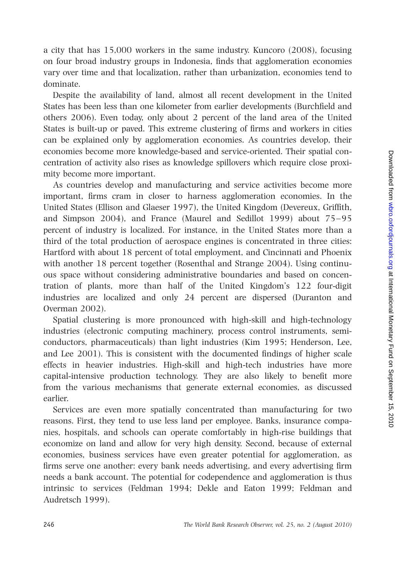a city that has 15,000 workers in the same industry. Kuncoro (2008), focusing on four broad industry groups in Indonesia, finds that agglomeration economies vary over time and that localization, rather than urbanization, economies tend to dominate.

Despite the availability of land, almost all recent development in the United States has been less than one kilometer from earlier developments (Burchfield and others 2006). Even today, only about 2 percent of the land area of the United States is built-up or paved. This extreme clustering of firms and workers in cities can be explained only by agglomeration economies. As countries develop, their economies become more knowledge-based and service-oriented. Their spatial concentration of activity also rises as knowledge spillovers which require close proximity become more important.

As countries develop and manufacturing and service activities become more important, firms cram in closer to harness agglomeration economies. In the United States (Ellison and Glaeser 1997), the United Kingdom (Devereux, Griffith, and Simpson  $2004$ , and France (Maurel and Sedillot 1999) about  $75-95$ percent of industry is localized. For instance, in the United States more than a third of the total production of aerospace engines is concentrated in three cities: Hartford with about 18 percent of total employment, and Cincinnati and Phoenix with another 18 percent together (Rosenthal and Strange 2004). Using continuous space without considering administrative boundaries and based on concentration of plants, more than half of the United Kingdom's 122 four-digit industries are localized and only 24 percent are dispersed (Duranton and Overman 2002).

Spatial clustering is more pronounced with high-skill and high-technology industries (electronic computing machinery, process control instruments, semiconductors, pharmaceuticals) than light industries (Kim 1995; Henderson, Lee, and Lee 2001). This is consistent with the documented findings of higher scale effects in heavier industries. High-skill and high-tech industries have more capital-intensive production technology. They are also likely to benefit more from the various mechanisms that generate external economies, as discussed earlier.

Services are even more spatially concentrated than manufacturing for two reasons. First, they tend to use less land per employee. Banks, insurance companies, hospitals, and schools can operate comfortably in high-rise buildings that economize on land and allow for very high density. Second, because of external economies, business services have even greater potential for agglomeration, as firms serve one another: every bank needs advertising, and every advertising firm needs a bank account. The potential for codependence and agglomeration is thus intrinsic to services (Feldman 1994; Dekle and Eaton 1999; Feldman and Audretsch 1999).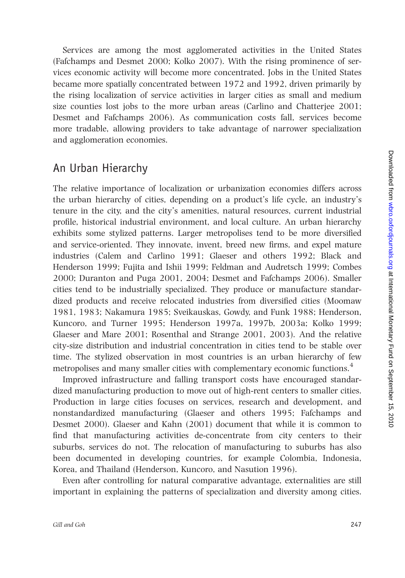Services are among the most agglomerated activities in the United States (Fafchamps and Desmet 2000; Kolko 2007). With the rising prominence of services economic activity will become more concentrated. Jobs in the United States became more spatially concentrated between 1972 and 1992, driven primarily by the rising localization of service activities in larger cities as small and medium size counties lost jobs to the more urban areas (Carlino and Chatterjee 2001; Desmet and Fafchamps 2006). As communication costs fall, services become more tradable, allowing providers to take advantage of narrower specialization and agglomeration economies.

## An Urban Hierarchy

The relative importance of localization or urbanization economies differs across the urban hierarchy of cities, depending on a product's life cycle, an industry's tenure in the city, and the city's amenities, natural resources, current industrial profile, historical industrial environment, and local culture. An urban hierarchy exhibits some stylized patterns. Larger metropolises tend to be more diversified and service-oriented. They innovate, invent, breed new firms, and expel mature industries (Calem and Carlino 1991; Glaeser and others 1992; Black and Henderson 1999; Fujita and Ishii 1999; Feldman and Audretsch 1999; Combes 2000; Duranton and Puga 2001, 2004; Desmet and Fafchamps 2006). Smaller cities tend to be industrially specialized. They produce or manufacture standardized products and receive relocated industries from diversified cities (Moomaw 1981, 1983; Nakamura 1985; Sveikauskas, Gowdy, and Funk 1988; Henderson, Kuncoro, and Turner 1995; Henderson 1997a, 1997b, 2003a; Kolko 1999; Glaeser and Mare 2001; Rosenthal and Strange 2001, 2003). And the relative city-size distribution and industrial concentration in cities tend to be stable over time. The stylized observation in most countries is an urban hierarchy of few metropolises and many smaller cities with complementary economic functions.<sup>4</sup>

Improved infrastructure and falling transport costs have encouraged standardized manufacturing production to move out of high-rent centers to smaller cities. Production in large cities focuses on services, research and development, and nonstandardized manufacturing (Glaeser and others 1995; Fafchamps and Desmet 2000). Glaeser and Kahn (2001) document that while it is common to find that manufacturing activities de-concentrate from city centers to their suburbs, services do not. The relocation of manufacturing to suburbs has also been documented in developing countries, for example Colombia, Indonesia, Korea, and Thailand (Henderson, Kuncoro, and Nasution 1996).

Even after controlling for natural comparative advantage, externalities are still important in explaining the patterns of specialization and diversity among cities.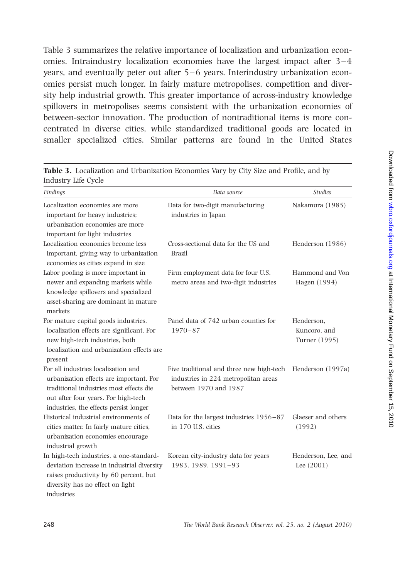Table 3 summarizes the relative importance of localization and urbanization economies. Intraindustry localization economies have the largest impact after  $3-4$ years, and eventually peter out after 5 –6 years. Interindustry urbanization economies persist much longer. In fairly mature metropolises, competition and diversity help industrial growth. This greater importance of across-industry knowledge spillovers in metropolises seems consistent with the urbanization economies of between-sector innovation. The production of nontraditional items is more concentrated in diverse cities, while standardized traditional goods are located in smaller specialized cities. Similar patterns are found in the United States

| Findings                                                                                                                                                                                                   | Data source                                                                                               | <b>Studies</b>                              |
|------------------------------------------------------------------------------------------------------------------------------------------------------------------------------------------------------------|-----------------------------------------------------------------------------------------------------------|---------------------------------------------|
| Localization economies are more<br>important for heavy industries;<br>urbanization economies are more<br>important for light industries                                                                    | Data for two-digit manufacturing<br>industries in Japan                                                   | Nakamura (1985)                             |
| Localization economies become less<br>important, giving way to urbanization<br>economies as cities expand in size                                                                                          | Cross-sectional data for the US and<br><b>Brazil</b>                                                      | Henderson (1986)                            |
| Labor pooling is more important in<br>newer and expanding markets while<br>knowledge spillovers and specialized<br>asset-sharing are dominant in mature<br>markets                                         | Firm employment data for four U.S.<br>metro areas and two-digit industries                                | Hammond and Von<br>Hagen (1994)             |
| For mature capital goods industries,<br>localization effects are significant. For<br>new high-tech industries, both<br>localization and urbanization effects are<br>present                                | Panel data of 742 urban counties for<br>$1970 - 87$                                                       | Henderson.<br>Kuncoro, and<br>Turner (1995) |
| For all industries localization and<br>urbanization effects are important. For<br>traditional industries most effects die<br>out after four years. For high-tech<br>industries, the effects persist longer | Five traditional and three new high-tech<br>industries in 224 metropolitan areas<br>between 1970 and 1987 | Henderson (1997a)                           |
| Historical industrial environments of<br>cities matter. In fairly mature cities,<br>urbanization economies encourage<br>industrial growth                                                                  | Data for the largest industries $1956 - 87$<br>in 170 U.S. cities                                         | Glaeser and others<br>(1992)                |
| In high-tech industries, a one-standard-<br>deviation increase in industrial diversity<br>raises productivity by 60 percent, but<br>diversity has no effect on light<br>industries                         | Korean city-industry data for years<br>1983, 1989, 1991-93                                                | Henderson, Lee, and<br>Lee $(2001)$         |

Table 3. Localization and Urbanization Economies Vary by City Size and Profile, and by Industry Life Cycle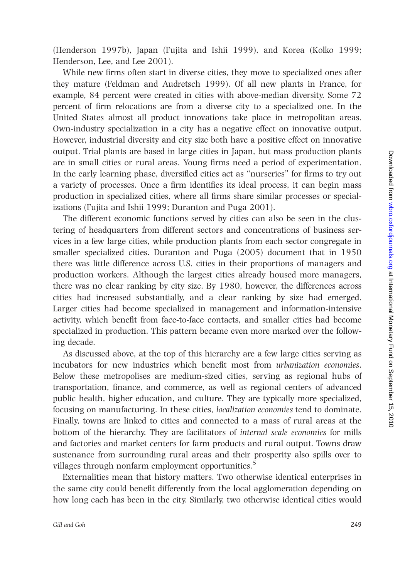(Henderson 1997b), Japan (Fujita and Ishii 1999), and Korea (Kolko 1999; Henderson, Lee, and Lee 2001).

While new firms often start in diverse cities, they move to specialized ones after they mature (Feldman and Audretsch 1999). Of all new plants in France, for example, 84 percent were created in cities with above-median diversity. Some 72 percent of firm relocations are from a diverse city to a specialized one. In the United States almost all product innovations take place in metropolitan areas. Own-industry specialization in a city has a negative effect on innovative output. However, industrial diversity and city size both have a positive effect on innovative output. Trial plants are based in large cities in Japan, but mass production plants are in small cities or rural areas. Young firms need a period of experimentation. In the early learning phase, diversified cities act as "nurseries" for firms to try out a variety of processes. Once a firm identifies its ideal process, it can begin mass production in specialized cities, where all firms share similar processes or specializations (Fujita and Ishii 1999; Duranton and Puga 2001).

The different economic functions served by cities can also be seen in the clustering of headquarters from different sectors and concentrations of business services in a few large cities, while production plants from each sector congregate in smaller specialized cities. Duranton and Puga (2005) document that in 1950 there was little difference across U.S. cities in their proportions of managers and production workers. Although the largest cities already housed more managers, there was no clear ranking by city size. By 1980, however, the differences across cities had increased substantially, and a clear ranking by size had emerged. Larger cities had become specialized in management and information-intensive activity, which benefit from face-to-face contacts, and smaller cities had become specialized in production. This pattern became even more marked over the following decade.

As discussed above, at the top of this hierarchy are a few large cities serving as incubators for new industries which benefit most from urbanization economies. Below these metropolises are medium-sized cities, serving as regional hubs of transportation, finance, and commerce, as well as regional centers of advanced public health, higher education, and culture. They are typically more specialized, focusing on manufacturing. In these cities, localization economies tend to dominate. Finally, towns are linked to cities and connected to a mass of rural areas at the bottom of the hierarchy. They are facilitators of internal scale economies for mills and factories and market centers for farm products and rural output. Towns draw sustenance from surrounding rural areas and their prosperity also spills over to villages through nonfarm employment opportunities.<sup>5</sup>

Externalities mean that history matters. Two otherwise identical enterprises in the same city could benefit differently from the local agglomeration depending on how long each has been in the city. Similarly, two otherwise identical cities would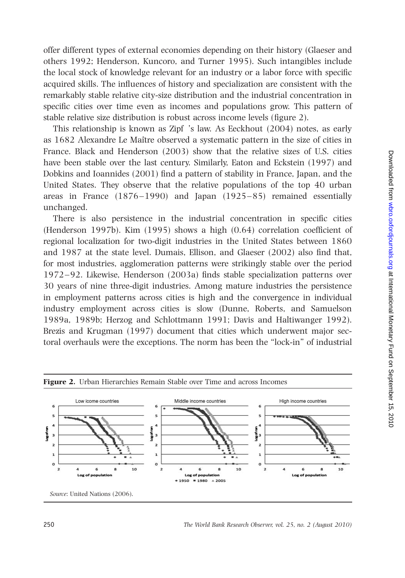offer different types of external economies depending on their history (Glaeser and others 1992; Henderson, Kuncoro, and Turner 1995). Such intangibles include the local stock of knowledge relevant for an industry or a labor force with specific acquired skills. The influences of history and specialization are consistent with the remarkably stable relative city-size distribution and the industrial concentration in specific cities over time even as incomes and populations grow. This pattern of stable relative size distribution is robust across income levels (figure 2).

This relationship is known as Zipf 's law. As Eeckhout (2004) notes, as early as 1682 Alexandre Le Maître observed a systematic pattern in the size of cities in France. Black and Henderson (2003) show that the relative sizes of U.S. cities have been stable over the last century. Similarly, Eaton and Eckstein (1997) and Dobkins and Ioannides (2001) find a pattern of stability in France, Japan, and the United States. They observe that the relative populations of the top 40 urban areas in France  $(1876 - 1990)$  and Japan  $(1925 - 85)$  remained essentially unchanged.

There is also persistence in the industrial concentration in specific cities (Henderson 1997b). Kim (1995) shows a high (0.64) correlation coefficient of regional localization for two-digit industries in the United States between 1860 and 1987 at the state level. Dumais, Ellison, and Glaeser (2002) also find that, for most industries, agglomeration patterns were strikingly stable over the period 1972 –92. Likewise, Henderson (2003a) finds stable specialization patterns over 30 years of nine three-digit industries. Among mature industries the persistence in employment patterns across cities is high and the convergence in individual industry employment across cities is slow (Dunne, Roberts, and Samuelson 1989a, 1989b; Herzog and Schlottmann 1991; Davis and Haltiwanger 1992). Brezis and Krugman (1997) document that cities which underwent major sectoral overhauls were the exceptions. The norm has been the "lock-in" of industrial



|  | <b>Figure 2.</b> Urban Hierarchies Remain Stable over Time and across Incomes |  |  |  |  |
|--|-------------------------------------------------------------------------------|--|--|--|--|
|  |                                                                               |  |  |  |  |

Source: United Nations (2006).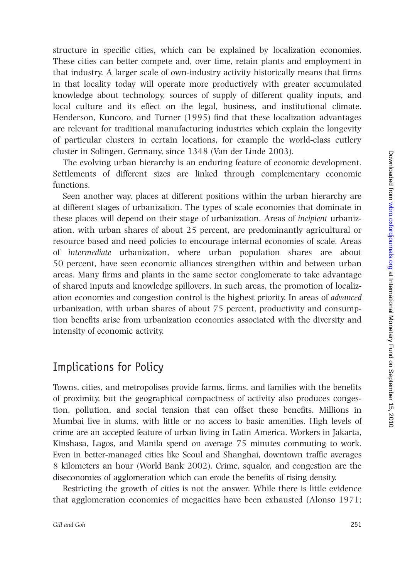structure in specific cities, which can be explained by localization economies. These cities can better compete and, over time, retain plants and employment in that industry. A larger scale of own-industry activity historically means that firms in that locality today will operate more productively with greater accumulated knowledge about technology, sources of supply of different quality inputs, and local culture and its effect on the legal, business, and institutional climate. Henderson, Kuncoro, and Turner (1995) find that these localization advantages are relevant for traditional manufacturing industries which explain the longevity of particular clusters in certain locations, for example the world-class cutlery cluster in Solingen, Germany, since 1348 (Van der Linde 2003).

The evolving urban hierarchy is an enduring feature of economic development. Settlements of different sizes are linked through complementary economic functions.

Seen another way, places at different positions within the urban hierarchy are at different stages of urbanization. The types of scale economies that dominate in these places will depend on their stage of urbanization. Areas of incipient urbanization, with urban shares of about 25 percent, are predominantly agricultural or resource based and need policies to encourage internal economies of scale. Areas of intermediate urbanization, where urban population shares are about 50 percent, have seen economic alliances strengthen within and between urban areas. Many firms and plants in the same sector conglomerate to take advantage of shared inputs and knowledge spillovers. In such areas, the promotion of localization economies and congestion control is the highest priority. In areas of advanced urbanization, with urban shares of about 75 percent, productivity and consumption benefits arise from urbanization economies associated with the diversity and intensity of economic activity.

## Implications for Policy

Towns, cities, and metropolises provide farms, firms, and families with the benefits of proximity, but the geographical compactness of activity also produces congestion, pollution, and social tension that can offset these benefits. Millions in Mumbai live in slums, with little or no access to basic amenities. High levels of crime are an accepted feature of urban living in Latin America. Workers in Jakarta, Kinshasa, Lagos, and Manila spend on average 75 minutes commuting to work. Even in better-managed cities like Seoul and Shanghai, downtown traffic averages 8 kilometers an hour (World Bank 2002). Crime, squalor, and congestion are the diseconomies of agglomeration which can erode the benefits of rising density.

Restricting the growth of cities is not the answer. While there is little evidence that agglomeration economies of megacities have been exhausted (Alonso 1971;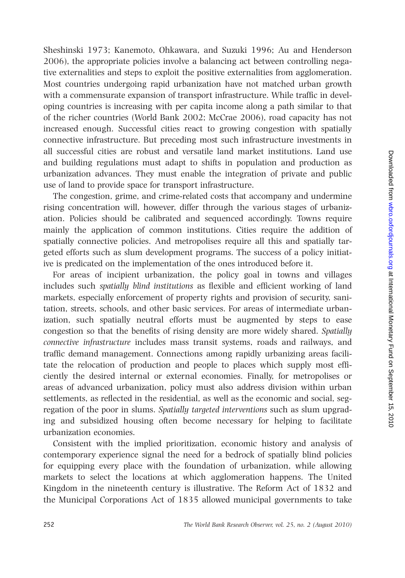Sheshinski 1973; Kanemoto, Ohkawara, and Suzuki 1996; Au and Henderson 2006), the appropriate policies involve a balancing act between controlling negative externalities and steps to exploit the positive externalities from agglomeration. Most countries undergoing rapid urbanization have not matched urban growth with a commensurate expansion of transport infrastructure. While traffic in developing countries is increasing with per capita income along a path similar to that of the richer countries (World Bank 2002; McCrae 2006), road capacity has not increased enough. Successful cities react to growing congestion with spatially connective infrastructure. But preceding most such infrastructure investments in all successful cities are robust and versatile land market institutions. Land use and building regulations must adapt to shifts in population and production as urbanization advances. They must enable the integration of private and public use of land to provide space for transport infrastructure.

The congestion, grime, and crime-related costs that accompany and undermine rising concentration will, however, differ through the various stages of urbanization. Policies should be calibrated and sequenced accordingly. Towns require mainly the application of common institutions. Cities require the addition of spatially connective policies. And metropolises require all this and spatially targeted efforts such as slum development programs. The success of a policy initiative is predicated on the implementation of the ones introduced before it.

For areas of incipient urbanization, the policy goal in towns and villages includes such spatially blind institutions as flexible and efficient working of land markets, especially enforcement of property rights and provision of security, sanitation, streets, schools, and other basic services. For areas of intermediate urbanization, such spatially neutral efforts must be augmented by steps to ease congestion so that the benefits of rising density are more widely shared. Spatially connective infrastructure includes mass transit systems, roads and railways, and traffic demand management. Connections among rapidly urbanizing areas facilitate the relocation of production and people to places which supply most efficiently the desired internal or external economies. Finally, for metropolises or areas of advanced urbanization, policy must also address division within urban settlements, as reflected in the residential, as well as the economic and social, segregation of the poor in slums. Spatially targeted interventions such as slum upgrading and subsidized housing often become necessary for helping to facilitate urbanization economies.

Consistent with the implied prioritization, economic history and analysis of contemporary experience signal the need for a bedrock of spatially blind policies for equipping every place with the foundation of urbanization, while allowing markets to select the locations at which agglomeration happens. The United Kingdom in the nineteenth century is illustrative. The Reform Act of 1832 and the Municipal Corporations Act of 1835 allowed municipal governments to take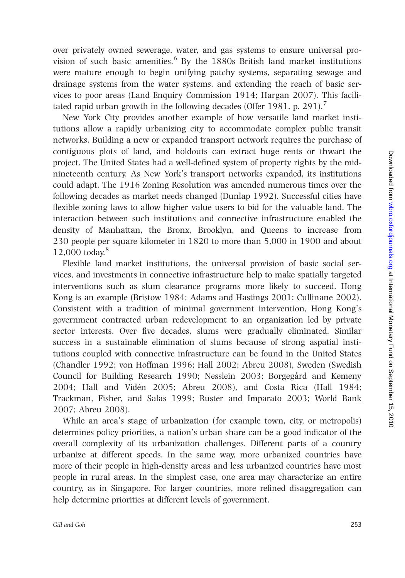over privately owned sewerage, water, and gas systems to ensure universal provision of such basic amenities.<sup>6</sup> By the  $1880s$  British land market institutions were mature enough to begin unifying patchy systems, separating sewage and drainage systems from the water systems, and extending the reach of basic services to poor areas (Land Enquiry Commission 1914; Hargan 2007). This facilitated rapid urban growth in the following decades (Offer 1981, p. 291).<sup>7</sup>

New York City provides another example of how versatile land market institutions allow a rapidly urbanizing city to accommodate complex public transit networks. Building a new or expanded transport network requires the purchase of contiguous plots of land, and holdouts can extract huge rents or thwart the project. The United States had a well-defined system of property rights by the midnineteenth century. As New York's transport networks expanded, its institutions could adapt. The 1916 Zoning Resolution was amended numerous times over the following decades as market needs changed (Dunlap 1992). Successful cities have flexible zoning laws to allow higher value users to bid for the valuable land. The interaction between such institutions and connective infrastructure enabled the density of Manhattan, the Bronx, Brooklyn, and Queens to increase from 230 people per square kilometer in 1820 to more than 5,000 in 1900 and about 12,000 today. $8$ 

Flexible land market institutions, the universal provision of basic social services, and investments in connective infrastructure help to make spatially targeted interventions such as slum clearance programs more likely to succeed. Hong Kong is an example (Bristow 1984; Adams and Hastings 2001; Cullinane 2002). Consistent with a tradition of minimal government intervention, Hong Kong's government contracted urban redevelopment to an organization led by private sector interests. Over five decades, slums were gradually eliminated. Similar success in a sustainable elimination of slums because of strong aspatial institutions coupled with connective infrastructure can be found in the United States (Chandler 1992; von Hoffman 1996; Hall 2002; Abreu 2008), Sweden (Swedish Council for Building Research 1990; Nesslein 2003; Borgegård and Kemeny 2004; Hall and Vidén 2005; Abreu 2008), and Costa Rica (Hall 1984; Trackman, Fisher, and Salas 1999; Ruster and Imparato 2003; World Bank 2007; Abreu 2008).

While an area's stage of urbanization (for example town, city, or metropolis) determines policy priorities, a nation's urban share can be a good indicator of the overall complexity of its urbanization challenges. Different parts of a country urbanize at different speeds. In the same way, more urbanized countries have more of their people in high-density areas and less urbanized countries have most people in rural areas. In the simplest case, one area may characterize an entire country, as in Singapore. For larger countries, more refined disaggregation can help determine priorities at different levels of government.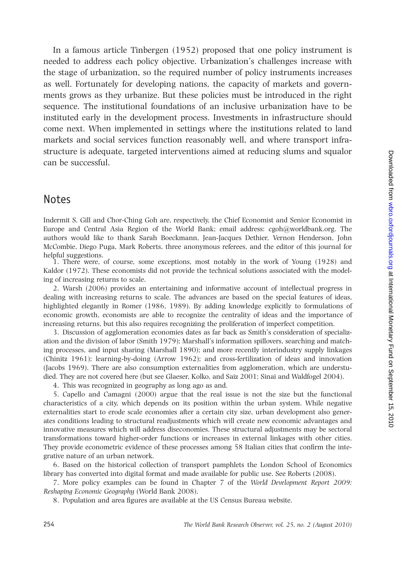In a famous article Tinbergen (1952) proposed that one policy instrument is needed to address each policy objective. Urbanization's challenges increase with the stage of urbanization, so the required number of policy instruments increases as well. Fortunately for developing nations, the capacity of markets and governments grows as they urbanize. But these policies must be introduced in the right sequence. The institutional foundations of an inclusive urbanization have to be instituted early in the development process. Investments in infrastructure should come next. When implemented in settings where the institutions related to land markets and social services function reasonably well, and where transport infrastructure is adequate, targeted interventions aimed at reducing slums and squalor can be successful.

### Notes

Indermit S. Gill and Chor-Ching Goh are, respectively, the Chief Economist and Senior Economist in Europe and Central Asia Region of the World Bank; email address: cgoh@worldbank.org. The authors would like to thank Sarah Boeckmann, Jean-Jacques Dethier, Vernon Henderson, John McCombie, Diego Puga, Mark Roberts, three anonymous referees, and the editor of this journal for helpful suggestions.<br>1. There were, of course, some exceptions, most notably in the work of Young (1928) and

Kaldor (1972). These economists did not provide the technical solutions associated with the modeling of increasing returns to scale.

2. Warsh (2006) provides an entertaining and informative account of intellectual progress in dealing with increasing returns to scale. The advances are based on the special features of ideas, highlighted elegantly in Romer (1986, 1989). By adding knowledge explicitly to formulations of economic growth, economists are able to recognize the centrality of ideas and the importance of increasing returns, but this also requires recognizing the proliferation of imperfect competition.

3. Discussion of agglomeration economies dates as far back as Smith's consideration of specialization and the division of labor (Smith 1979); Marshall's information spillovers, searching and matching processes, and input sharing (Marshall 1890); and more recently interindustry supply linkages (Chinitz 1961); learning-by-doing (Arrow 1962); and cross-fertilization of ideas and innovation (Jacobs 1969). There are also consumption externalities from agglomeration, which are understudied. They are not covered here (but see Glaeser, Kolko, and Saiz 2001; Sinai and Waldfogel 2004).

4. This was recognized in geography as long ago as and.

5. Capello and Camagni (2000) argue that the real issue is not the size but the functional characteristics of a city, which depends on its position within the urban system. While negative externalities start to erode scale economies after a certain city size, urban development also generates conditions leading to structural readjustments which will create new economic advantages and innovative measures which will address diseconomies. These structural adjustments may be sectoral transformations toward higher-order functions or increases in external linkages with other cities. They provide econometric evidence of these processes among 58 Italian cities that confirm the integrative nature of an urban network.

6. Based on the historical collection of transport pamphlets the London School of Economics library has converted into digital format and made available for public use. See Roberts (2008).

7. More policy examples can be found in Chapter 7 of the World Development Report 2009: Reshaping Economic Geography (World Bank 2008).

8. Population and area figures are available at the US Census Bureau website.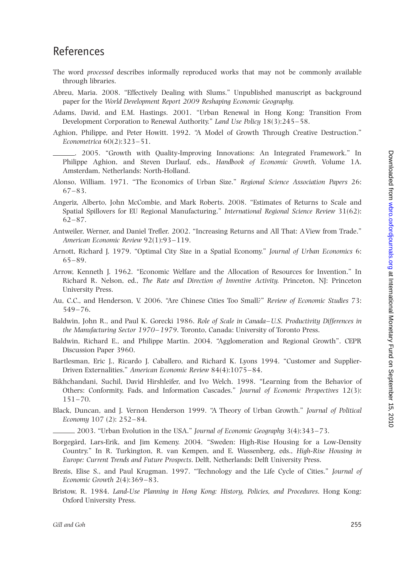## References

- The word processed describes informally reproduced works that may not be commonly available through libraries.
- Abreu, Maria. 2008. "Effectively Dealing with Slums." Unpublished manuscript as background paper for the World Development Report 2009 Reshaping Economic Geography.
- Adams, David, and E.M. Hastings. 2001. "Urban Renewal in Hong Kong: Transition From Development Corporation to Renewal Authority." Land Use Policy 18(3):245 –58.
- Aghion, Philippe, and Peter Howitt. 1992. "A Model of Growth Through Creative Destruction." Econometrica 60(2):323 –51.
	- . 2005. "Growth with Quality-Improving Innovations: An Integrated Framework." In Philippe Aghion, and Steven Durlauf, eds., Handbook of Economic Growth, Volume 1A. Amsterdam, Netherlands: North-Holland.
- Alonso, William. 1971. "The Economics of Urban Size." Regional Science Association Papers 26:  $67 - 83.$
- Angeriz, Alberto, John McCombie, and Mark Roberts. 2008. "Estimates of Returns to Scale and Spatial Spillovers for EU Regional Manufacturing." International Regional Science Review 31(62):  $62 - 87.$
- Antweiler, Werner, and Daniel Trefler. 2002. "Increasing Returns and All That: AView from Trade." American Economic Review 92(1):93–119.
- Arnott, Richard J. 1979. "Optimal City Size in a Spatial Economy." Journal of Urban Economics 6:  $65 - 89.$
- Arrow, Kenneth J. 1962. "Economic Welfare and the Allocation of Resources for Invention." In Richard R. Nelson, ed., The Rate and Direction of Inventive Activity. Princeton, NJ: Princeton University Press.
- Au, C.C., and Henderson, V. 2006. "Are Chinese Cities Too Small?" Review of Economic Studies 73: 549–76.
- Baldwin, John R., and Paul K. Gorecki 1986. Role of Scale in Canada-U.S. Productivity Differences in the Manufacturing Sector 1970–1979. Toronto, Canada: University of Toronto Press.
- Baldwin, Richard E., and Philippe Martin. 2004. "Agglomeration and Regional Growth". CEPR Discussion Paper 3960.
- Bartlesman, Eric J., Ricardo J. Caballero, and Richard K. Lyons 1994. "Customer and Supplier-Driven Externalities." American Economic Review 84(4):1075–84.
- Bikhchandani, Suchil, David Hirshleifer, and Ivo Welch. 1998. "Learning from the Behavior of Others: Conformity, Fads, and Information Cascades." Journal of Economic Perspectives 12(3): 151–70.
- Black, Duncan, and J. Vernon Henderson 1999. "A Theory of Urban Growth." Journal of Political Economy 107 (2): 252–84.

2003. "Urban Evolution in the USA." Journal of Economic Geography 3(4):343–73.

- Borgegård, Lars-Erik, and Jim Kemeny. 2004. "Sweden: High-Rise Housing for a Low-Density Country." In R. Turkington, R. van Kempen, and E. Wassenberg, eds., High-Rise Housing in Europe: Current Trends and Future Prospects. Delft, Netherlands: Delft University Press.
- Brezis, Elise S., and Paul Krugman. 1997. "Technology and the Life Cycle of Cities." Journal of Economic Growth 2(4):369–83.
- Bristow, R. 1984. Land-Use Planning in Hong Kong: History, Policies, and Procedures. Hong Kong: Oxford University Press.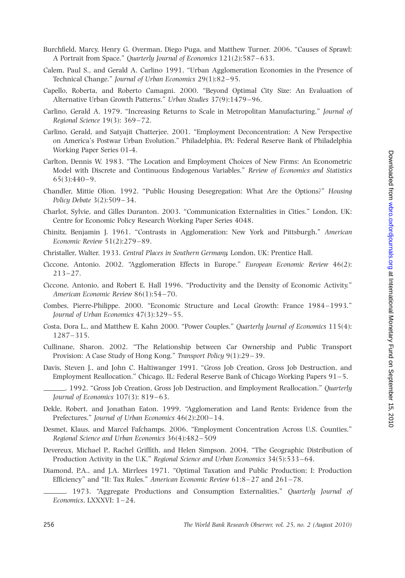- Burchfield, Marcy, Henry G. Overman, Diego Puga, and Matthew Turner. 2006. "Causes of Sprawl: A Portrait from Space." Quarterly Journal of Economics 121(2):587–633.
- Calem, Paul S., and Gerald A. Carlino 1991. "Urban Agglomeration Economies in the Presence of Technical Change." Journal of Urban Economics 29(1):82–95.
- Capello, Roberta, and Roberto Camagni. 2000. "Beyond Optimal City Size: An Evaluation of Alternative Urban Growth Patterns." Urban Studies 37(9):1479–96.
- Carlino, Gerald A. 1979. "Increasing Returns to Scale in Metropolitan Manufacturing." Journal of Regional Science 19(3): 369–72.
- Carlino, Gerald, and Satyajit Chatterjee. 2001. "Employment Deconcentration: A New Perspective on America's Postwar Urban Evolution." Philadelphia, PA: Federal Reserve Bank of Philadelphia Working Paper Series 01-4.
- Carlton, Dennis W. 1983. "The Location and Employment Choices of New Firms: An Econometric Model with Discrete and Continuous Endogenous Variables." Review of Economics and Statistics  $65(3):440-9.$
- Chandler, Mittie Olion. 1992. "Public Housing Desegregation: What Are the Options?" Housing Policy Debate 3(2):509–34.
- Charlot, Sylvie, and Gilles Duranton. 2003. "Communication Externalities in Cities." London, UK: Centre for Economic Policy Research Working Paper Series 4048.
- Chinitz, Benjamin J. 1961. "Contrasts in Agglomeration: New York and Pittsburgh." American Economic Review 51(2):279 –89.
- Christaller, Walter. 1933. Central Places in Southern Germany. London, UK: Prentice Hall.
- Ciccone, Antonio. 2002. "Agglomeration Effects in Europe." European Economic Review 46(2):  $213 - 27.$
- Ciccone, Antonio, and Robert E. Hall 1996. "Productivity and the Density of Economic Activity." American Economic Review 86(1):54 –70.
- Combes, Pierre-Philippe. 2000. "Economic Structure and Local Growth: France 1984–1993." Journal of Urban Economics 47(3):329-55.
- Costa, Dora L., and Matthew E. Kahn 2000. "Power Couples." Quarterly Journal of Economics 115(4): 1287–315.
- Cullinane, Sharon. 2002. "The Relationship between Car Ownership and Public Transport Provision: A Case Study of Hong Kong." Transport Policy 9(1):29 –39.
- Davis, Steven J., and John C. Haltiwanger 1991. "Gross Job Creation, Gross Job Destruction, and Employment Reallocation." Chicago, IL: Federal Reserve Bank of Chicago Working Papers 91 –5.
- . 1992. "Gross Job Creation, Gross Job Destruction, and Employment Reallocation." Quarterly Journal of Economics 107(3): 819 –63.
- Dekle, Robert, and Jonathan Eaton. 1999. "Agglomeration and Land Rents: Evidence from the Prefectures." Journal of Urban Economics 46(2):200–14.
- Desmet, Klaus, and Marcel Fafchamps. 2006. "Employment Concentration Across U.S. Counties." Regional Science and Urban Economics 36(4):482 –509
- Devereux, Michael P., Rachel Griffith, and Helen Simpson. 2004. "The Geographic Distribution of Production Activity in the U.K." Regional Science and Urban Economics 34(5):533 –64.
- Diamond, P.A., and J.A. Mirrlees 1971. "Optimal Taxation and Public Production; I: Production Efficiency" and "II: Tax Rules." American Economic Review 61:8–27 and 261 –78.

<sup>. 1973. &</sup>quot;Aggregate Productions and Consumption Externalities," Quarterly Journal of Economics, LXXXVI:  $1-24$ .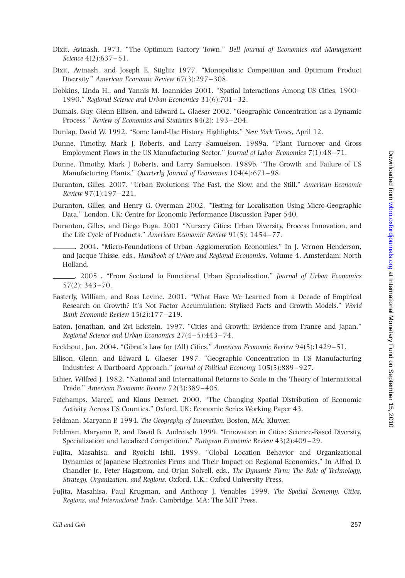- Dixit, Avinash. 1973. "The Optimum Factory Town." Bell Journal of Economics and Management Science 4(2):637-51.
- Dixit, Avinash, and Joseph E. Stiglitz 1977. "Monopolistic Competition and Optimum Product Diversity." American Economic Review 67(3):297 –308.
- Dobkins, Linda H., and Yannis M. Ioannides 2001. "Spatial Interactions Among US Cities, 1900– 1990." Regional Science and Urban Economics 31(6):701–32.
- Dumais, Guy, Glenn Ellison, and Edward L. Glaeser 2002. "Geographic Concentration as a Dynamic Process." Review of Economics and Statistics 84(2): 193–204.
- Dunlap, David W. 1992. "Some Land-Use History Highlights." New York Times, April 12.
- Dunne, Timothy, Mark J. Roberts, and Larry Samuelson. 1989a. "Plant Turnover and Gross Employment Flows in the US Manufacturing Sector." Journal of Labor Economics 7(1):48 –71.
- Dunne, Timothy, Mark J Roberts, and Larry Samuelson. 1989b. "The Growth and Failure of US Manufacturing Plants." Quarterly Journal of Economics 104(4):671 –98.
- Duranton, Gilles. 2007. "Urban Evolutions: The Fast, the Slow, and the Still." American Economic Review 97(1):197 –221.
- Duranton, Gilles, and Henry G. Overman 2002. "Testing for Localisation Using Micro-Geographic Data." London, UK: Centre for Economic Performance Discussion Paper 540.
- Duranton, Gilles, and Diego Puga. 2001 "Nursery Cities: Urban Diversity, Process Innovation, and the Life Cycle of Products." American Economic Review 91(5): 1454–77.
	- . 2004. "Micro-Foundations of Urban Agglomeration Economies." In J. Vernon Henderson, and Jacque Thisse, eds., Handbook of Urban and Regional Economies, Volume 4. Amsterdam: North Holland.
	- . 2005 . "From Sectoral to Functional Urban Specialization." Journal of Urban Economics 57(2): 343–70.
- Easterly, William, and Ross Levine. 2001. "What Have We Learned from a Decade of Empirical Research on Growth? It's Not Factor Accumulation: Stylized Facts and Growth Models." World Bank Economic Review 15(2):177 –219.
- Eaton, Jonathan, and Zvi Eckstein. 1997. "Cities and Growth: Evidence from France and Japan." Regional Science and Urban Economics 27(4-5):443-74.
- Eeckhout, Jan. 2004. "Gibrat's Law for (All) Cities." American Economic Review 94(5):1429–51.
- Ellison, Glenn, and Edward L. Glaeser 1997. "Geographic Concentration in US Manufacturing Industries: A Dartboard Approach." Journal of Political Economy 105(5):889–927.
- Ethier, Wilfred J. 1982. "National and International Returns to Scale in the Theory of International Trade." American Economic Review 72(3):389 –405.
- Fafchamps, Marcel, and Klaus Desmet. 2000. "The Changing Spatial Distribution of Economic Activity Across US Counties." Oxford, UK: Economic Series Working Paper 43.
- Feldman, Maryann P. 1994. The Geography of Innovation. Boston, MA: Kluwer.
- Feldman, Maryann P., and David B. Audretsch 1999. "Innovation in Cities: Science-Based Diversity, Specialization and Localized Competition." European Economic Review 43(2):409 –29.
- Fujita, Masahisa, and Ryoichi Ishii. 1999. "Global Location Behavior and Organizational Dynamics of Japanese Electronics Firms and Their Impact on Regional Economies." In Alfred D. Chandler Jr., Peter Hagstrom, and Orjan Solvell, eds., The Dynamic Firm: The Role of Technology, Strategy, Organization, and Regions. Oxford, U.K.: Oxford University Press.
- Fujita, Masahisa, Paul Krugman, and Anthony J. Venables 1999. The Spatial Economy. Cities, Regions, and International Trade. Cambridge, MA: The MIT Press.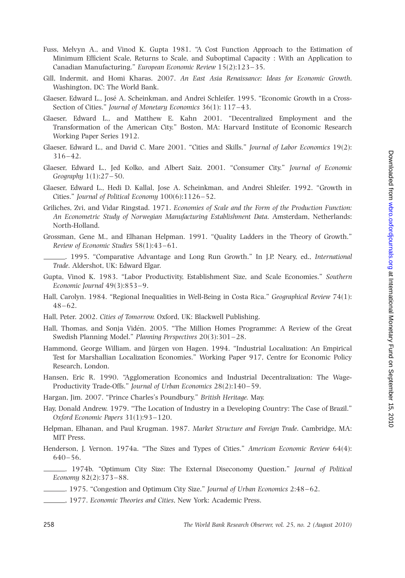- Fuss, Melvyn A., and Vinod K. Gupta 1981. "A Cost Function Approach to the Estimation of Minimum Efficient Scale, Returns to Scale, and Suboptimal Capacity : With an Application to Canadian Manufacturing." European Economic Review 15(2):123–35.
- Gill, Indermit, and Homi Kharas. 2007. An East Asia Renaissance: Ideas for Economic Growth. Washington, DC: The World Bank.
- Glaeser, Edward L., Jose´ A. Scheinkman, and Andrei Schleifer. 1995. "Economic Growth in a Cross-Section of Cities." Journal of Monetary Economics 36(1): 117-43.
- Glaeser, Edward L., and Matthew E. Kahn 2001. "Decentralized Employment and the Transformation of the American City." Boston, MA: Harvard Institute of Economic Research Working Paper Series 1912.
- Glaeser, Edward L., and David C. Mare 2001. "Cities and Skills." Journal of Labor Economics 19(2): 316 –42.
- Glaeser, Edward L., Jed Kolko, and Albert Saiz. 2001. "Consumer City." Journal of Economic Geography 1(1):27-50.
- Glaeser, Edward L., Hedi D. Kallal, Jose A. Scheinkman, and Andrei Shleifer. 1992. "Growth in Cities." Journal of Political Economy 100(6):1126-52.
- Griliches, Zvi, and Vidar Ringstad. 1971. Economies of Scale and the Form of the Production Function: An Econometric Study of Norwegian Manufacturing Establishment Data. Amsterdam, Netherlands: North-Holland.
- Grossman, Gene M., and Elhanan Helpman. 1991. "Quality Ladders in the Theory of Growth." Review of Economic Studies 58(1):43–61.
	- . 1995. "Comparative Advantage and Long Run Growth." In J.P. Neary, ed., International Trade. Aldershot, UK: Edward Elgar.
- Gupta, Vinod K. 1983. "Labor Productivity, Establishment Size, and Scale Economies." Southern Economic Journal 49(3):853 –9.
- Hall, Carolyn. 1984. "Regional Inequalities in Well-Being in Costa Rica." Geographical Review 74(1):  $48 - 62.$
- Hall, Peter. 2002. Cities of Tomorrow. Oxford, UK: Blackwell Publishing.
- Hall, Thomas, and Sonja Vidén. 2005. "The Million Homes Programme: A Review of the Great Swedish Planning Model." Planning Perspectives 20(3):301–28.
- Hammond, George William, and Jürgen von Hagen. 1994. "Industrial Localization: An Empirical Test for Marshallian Localization Economies." Working Paper 917, Centre for Economic Policy Research, London.
- Hansen, Eric R. 1990. "Agglomeration Economics and Industrial Decentralization: The Wage-Productivity Trade-Offs." Journal of Urban Economics 28(2):140-59.

Hargan, Jim. 2007. "Prince Charles's Poundbury." British Heritage. May.

- Hay, Donald Andrew. 1979. "The Location of Industry in a Developing Country: The Case of Brazil." Oxford Economic Papers 31(1):93-120.
- Helpman, Elhanan, and Paul Krugman. 1987. Market Structure and Foreign Trade. Cambridge, MA: MIT Press.
- Henderson, J. Vernon. 1974a. "The Sizes and Types of Cities." American Economic Review 64(4):  $640 - 56.$

. 1974b. "Optimum City Size: The External Diseconomy Question." Journal of Political Economy 82(2):373 –88.

- . 1975. "Congestion and Optimum City Size." Journal of Urban Economics 2:48–62.
	- , 1977. Economic Theories and Cities, New York: Academic Press.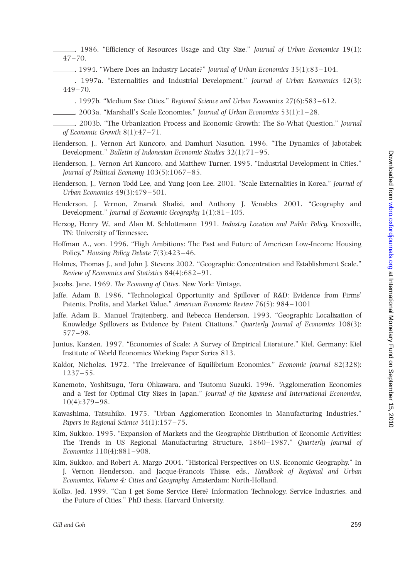- . 1986. "Efficiency of Resources Usage and City Size." Journal of Urban Economics 19(1):  $47 - 70.$ 
	- ... 1994. "Where Does an Industry Locate?" Journal of Urban Economics 35(1):83 104.
- . 1997a. "Externalities and Industrial Development." Journal of Urban Economics 42(3): 449–70.
- . 1997b. "Medium Size Cities." Regional Science and Urban Economics 27(6):583 –612.
- . 2003a. "Marshall's Scale Economies." Journal of Urban Economics 53(1):1 –28.
- . 2003b. "The Urbanization Process and Economic Growth: The So-What Question." Journal of Economic Growth  $8(1):47-71$ .
- Henderson, J., Vernon Ari Kuncoro, and Damhuri Nasution. 1996. "The Dynamics of Jabotabek Development." Bulletin of Indonesian Economic Studies 32(1):71–95.
- Henderson, J., Vernon Ari Kuncoro, and Matthew Turner. 1995. "Industrial Development in Cities." Journal of Political Economy 103(5):1067–85.
- Henderson, J., Vernon Todd Lee, and Yung Joon Lee. 2001. "Scale Externalities in Korea." Journal of Urban Economics 49(3):479 –501.
- Henderson, J. Vernon, Zmarak Shalizi, and Anthony J. Venables 2001. "Geography and Development." Journal of Economic Geography 1(1):81–105.
- Herzog, Henry W., and Alan M. Schlottmann 1991. Industry Location and Public Policy. Knoxville, TN: University of Tennessee.
- Hoffman A., von. 1996. "High Ambitions: The Past and Future of American Low-Income Housing Policy." Housing Policy Debate 7(3):423–46.
- Holmes, Thomas J., and John J. Stevens 2002. "Geographic Concentration and Establishment Scale." Review of Economics and Statistics 84(4):682 –91.
- Jacobs, Jane. 1969. The Economy of Cities. New York: Vintage.
- Jaffe, Adam B. 1986. "Technological Opportunity and Spillover of R&D: Evidence from Firms' Patents, Profits, and Market Value." American Economic Review 76(5): 984 –1001
- Jaffe, Adam B., Manuel Trajtenberg, and Rebecca Henderson. 1993. "Geographic Localization of Knowledge Spillovers as Evidence by Patent Citations." Quarterly Journal of Economics 108(3): 577–98.
- Junius, Karsten. 1997. "Economies of Scale: A Survey of Empirical Literature." Kiel, Germany: Kiel Institute of World Economics Working Paper Series 813.
- Kaldor, Nicholas. 1972. "The Irrelevance of Equilibrium Economics." Economic Journal 82(328): 1237–55.
- Kanemoto, Yoshitsugu, Toru Ohkawara, and Tsutomu Suzuki. 1996. "Agglomeration Economies and a Test for Optimal City Sizes in Japan." Journal of the Japanese and International Economies, 10(4):379 –98.
- Kawashima, Tatsuhiko. 1975. "Urban Agglomeration Economies in Manufacturing Industries." Papers in Regional Science 34(1):157-75.
- Kim, Sukkoo. 1995. "Expansion of Markets and the Geographic Distribution of Economic Activities: The Trends in US Regional Manufacturing Structure, 1860–1987." Quarterly Journal of Economics 110(4):881–908.
- Kim, Sukkoo, and Robert A. Margo 2004. "Historical Perspectives on U.S. Economic Geography." In J. Vernon Henderson, and Jacque-Francois Thisse, eds., Handbook of Regional and Urban Economics, Volume 4: Cities and Geography. Amsterdam: North-Holland.
- Kolko, Jed. 1999. "Can I get Some Service Here? Information Technology, Service Industries, and the Future of Cities." PhD thesis. Harvard University.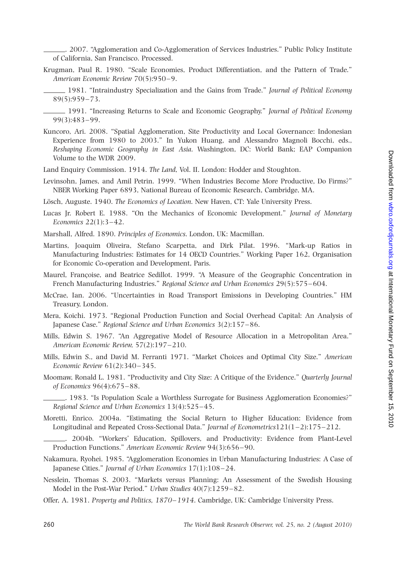- . 2007. "Agglomeration and Co-Agglomeration of Services Industries." Public Policy Institute of California, San Francisco. Processed.
- Krugman, Paul R. 1980. "Scale Economies, Product Differentiation, and the Pattern of Trade." American Economic Review 70(5):950-9.
	- 1981. "Intraindustry Specialization and the Gains from Trade." *Journal of Political Economy* 89(5):959 –73.

- Kuncoro, Ari. 2008. "Spatial Agglomeration, Site Productivity and Local Governance: Indonesian Experience from 1980 to 2003." In Yukon Huang, and Alessandro Magnoli Bocchi, eds., Reshaping Economic Geography in East Asia. Washington, DC: World Bank; EAP Companion Volume to the WDR 2009.
- Land Enquiry Commission. 1914. The Land, Vol. II. London: Hodder and Stoughton.
- Levinsohn, James, and Amil Petrin. 1999. "When Industries Become More Productive, Do Firms?" NBER Working Paper 6893, National Bureau of Economic Research, Cambridge, MA.
- Lösch, Auguste. 1940. The Economics of Location. New Haven, CT: Yale University Press.
- Lucas Jr. Robert E. 1988. "On the Mechanics of Economic Development." Journal of Monetary Economics 22(1):3 –42.
- Marshall, Alfred. 1890. Principles of Economics. London, UK: Macmillan.
- Martins, Joaquim Oliveira, Stefano Scarpetta, and Dirk Pilat. 1996. "Mark-up Ratios in Manufacturing Industries: Estimates for 14 OECD Countries." Working Paper 162, Organisation for Economic Co-operation and Development, Paris.
- Maurel, Francoise, and Beatrice Sedillot. 1999. "A Measure of the Geographic Concentration in French Manufacturing Industries." Regional Science and Urban Economics 29(5):575–604.
- McCrae, Ian. 2006. "Uncertainties in Road Transport Emissions in Developing Countries." HM Treasury, London.
- Mera, Koichi. 1973. "Regional Production Function and Social Overhead Capital: An Analysis of Japanese Case." Regional Science and Urban Economics 3(2):157–86.
- Mills, Edwin S. 1967. "An Aggregative Model of Resource Allocation in a Metropolitan Area." American Economic Review, 57(2):197 –210.
- Mills, Edwin S., and David M. Ferranti 1971. "Market Choices and Optimal City Size." American Economic Review 61(2):340 –345.
- Moomaw, Ronald L. 1981. "Productivity and City Size: A Critique of the Evidence." Quarterly Journal of Economics 96(4):675 –88.

. 1983. "Is Population Scale a Worthless Surrogate for Business Agglomeration Economies?" Regional Science and Urban Economics 13(4):525 –45.

Moretti, Enrico. 2004a. "Estimating the Social Return to Higher Education: Evidence from Longitudinal and Repeated Cross-Sectional Data." Journal of Econometrics121(1–2):175–212.

. 2004b. "Workers' Education, Spillovers, and Productivity: Evidence from Plant-Level Production Functions." American Economic Review 94(3):656–90.

- Nakamura, Ryohei. 1985. "Agglomeration Economies in Urban Manufacturing Industries: A Case of Japanese Cities." Journal of Urban Economics 17(1):108–24.
- Nesslein, Thomas S. 2003. "Markets versus Planning: An Assessment of the Swedish Housing Model in the Post-War Period." Urban Studies 40(7):1259–82.
- Offer, A. 1981. Property and Politics, 1870–1914. Cambridge, UK: Cambridge University Press.

<sup>1991. &</sup>quot;Increasing Returns to Scale and Economic Geography." Journal of Political Economy 99(3):483 –99.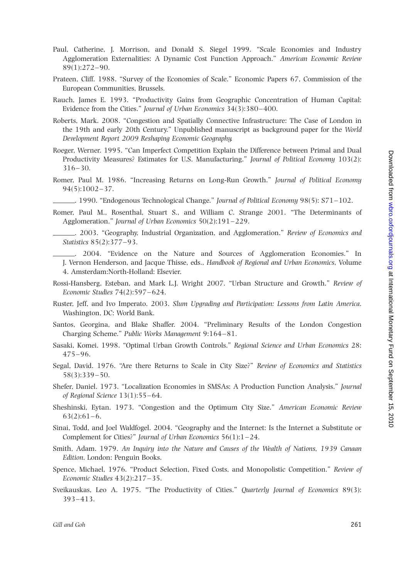- Paul, Catherine, J. Morrison, and Donald S. Siegel 1999. "Scale Economies and Industry Agglomeration Externalities: A Dynamic Cost Function Approach." American Economic Review 89(1):272 –90.
- Prateen, Cliff. 1988. "Survey of the Economies of Scale." Economic Papers 67, Commission of the European Communities, Brussels.
- Rauch, James E. 1993. "Productivity Gains from Geographic Concentration of Human Capital: Evidence from the Cities." Journal of Urban Economics 34(3):380 –400.
- Roberts, Mark. 2008. "Congestion and Spatially Connective Infrastructure: The Case of London in the 19th and early 20th Century." Unpublished manuscript as background paper for the World Development Report 2009 Reshaping Economic Geography.
- Roeger, Werner. 1995. "Can Imperfect Competition Explain the Difference between Primal and Dual Productivity Measures? Estimates for U.S. Manufacturing." Journal of Political Economy 103(2): 316–30.
- Romer, Paul M. 1986. "Increasing Returns on Long-Run Growth." Journal of Political Economy 94(5):1002–37.
	- . 1990. "Endogenous Technological Change." Journal of Political Economy 98(5): S71 –102.
- Romer, Paul M., Rosenthal, Stuart S., and William C. Strange 2001. "The Determinants of Agglomeration." Journal of Urban Economics 50(2):191–229.
	- . 2003. "Geography, Industrial Organization, and Agglomeration." Review of Economics and Statistics 85(2):377–93.
	- . 2004. "Evidence on the Nature and Sources of Agglomeration Economies." In J. Vernon Henderson, and Jacque Thisse, eds., Handbook of Regional and Urban Economics, Volume 4. Amsterdam:North-Holland: Elsevier.
- Rossi-Hansberg, Esteban, and Mark L.J. Wright 2007. "Urban Structure and Growth." Review of Economic Studies 74(2):597 –624.
- Ruster, Jeff, and Ivo Imperato. 2003. Slum Upgrading and Participation: Lessons from Latin America. Washington, DC: World Bank.
- Santos, Georgina, and Blake Shaffer. 2004. "Preliminary Results of the London Congestion Charging Scheme." Public Works Management 9:164–81.
- Sasaki, Komei. 1998. "Optimal Urban Growth Controls." Regional Science and Urban Economics 28: 475–96.
- Segal, David. 1976. "Are there Returns to Scale in City Size?" Review of Economics and Statistics 58(3):339 –50.
- Shefer, Daniel. 1973. "Localization Economies in SMSAs: A Production Function Analysis." Journal of Regional Science 13(1):55 –64.
- Sheshinski, Eytan. 1973. "Congestion and the Optimum City Size." American Economic Review  $63(2):61-6.$
- Sinai, Todd, and Joel Waldfogel. 2004. "Geography and the Internet: Is the Internet a Substitute or Complement for Cities?" Journal of Urban Economics 56(1):1 –24.
- Smith, Adam. 1979. An Inquiry into the Nature and Causes of the Wealth of Nations, 1939 Canaan Edition. London: Penguin Books.
- Spence, Michael, 1976. "Product Selection, Fixed Costs, and Monopolistic Competition." Review of Economic Studies 43(2):217 –35.
- Sveikauskas, Leo A. 1975. "The Productivity of Cities." Quarterly Journal of Economics 89(3): 393–413.